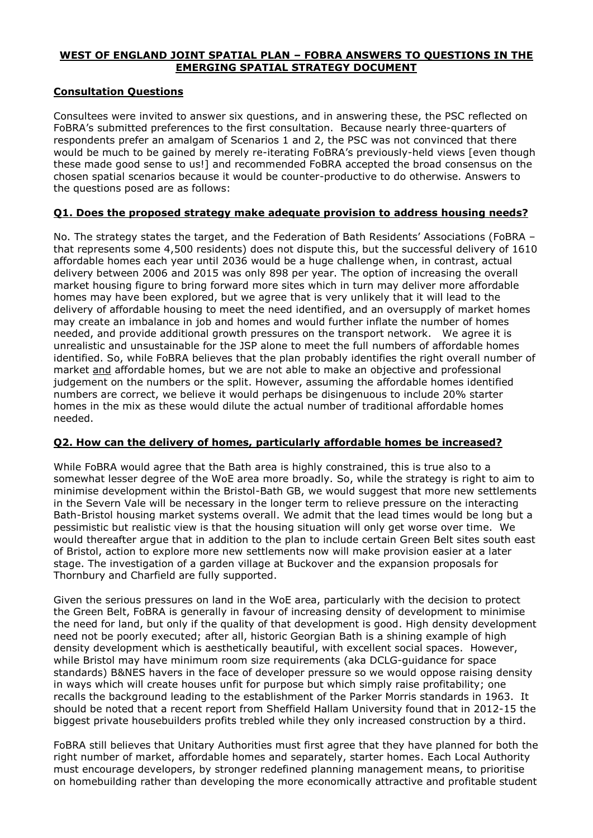#### **WEST OF ENGLAND JOINT SPATIAL PLAN – FOBRA ANSWERS TO QUESTIONS IN THE EMERGING SPATIAL STRATEGY DOCUMENT**

# **Consultation Questions**

Consultees were invited to answer six questions, and in answering these, the PSC reflected on FoBRA's submitted preferences to the first consultation. Because nearly three-quarters of respondents prefer an amalgam of Scenarios 1 and 2, the PSC was not convinced that there would be much to be gained by merely re-iterating FoBRA's previously-held views [even though these made good sense to us!] and recommended FoBRA accepted the broad consensus on the chosen spatial scenarios because it would be counter-productive to do otherwise. Answers to the questions posed are as follows:

# **Q1. Does the proposed strategy make adequate provision to address housing needs?**

No. The strategy states the target, and the Federation of Bath Residents' Associations (FoBRA – that represents some 4,500 residents) does not dispute this, but the successful delivery of 1610 affordable homes each year until 2036 would be a huge challenge when, in contrast, actual delivery between 2006 and 2015 was only 898 per year. The option of increasing the overall market housing figure to bring forward more sites which in turn may deliver more affordable homes may have been explored, but we agree that is very unlikely that it will lead to the delivery of affordable housing to meet the need identified, and an oversupply of market homes may create an imbalance in job and homes and would further inflate the number of homes needed, and provide additional growth pressures on the transport network. We agree it is unrealistic and unsustainable for the JSP alone to meet the full numbers of affordable homes identified. So, while FoBRA believes that the plan probably identifies the right overall number of market and affordable homes, but we are not able to make an objective and professional judgement on the numbers or the split. However, assuming the affordable homes identified numbers are correct, we believe it would perhaps be disingenuous to include 20% starter homes in the mix as these would dilute the actual number of traditional affordable homes needed.

# **Q2. How can the delivery of homes, particularly affordable homes be increased?**

While FoBRA would agree that the Bath area is highly constrained, this is true also to a somewhat lesser degree of the WoE area more broadly. So, while the strategy is right to aim to minimise development within the Bristol-Bath GB, we would suggest that more new settlements in the Severn Vale will be necessary in the longer term to relieve pressure on the interacting Bath-Bristol housing market systems overall. We admit that the lead times would be long but a pessimistic but realistic view is that the housing situation will only get worse over time. We would thereafter argue that in addition to the plan to include certain Green Belt sites south east of Bristol, action to explore more new settlements now will make provision easier at a later stage. The investigation of a garden village at Buckover and the expansion proposals for Thornbury and Charfield are fully supported.

Given the serious pressures on land in the WoE area, particularly with the decision to protect the Green Belt, FoBRA is generally in favour of increasing density of development to minimise the need for land, but only if the quality of that development is good. High density development need not be poorly executed; after all, historic Georgian Bath is a shining example of high density development which is aesthetically beautiful, with excellent social spaces. However, while Bristol may have minimum room size requirements (aka DCLG-guidance for space standards) B&NES havers in the face of developer pressure so we would oppose raising density in ways which will create houses unfit for purpose but which simply raise profitability; one recalls the background leading to the establishment of the Parker Morris standards in 1963. It should be noted that a recent report from Sheffield Hallam University found that in 2012-15 the biggest private housebuilders profits trebled while they only increased construction by a third.

FoBRA still believes that Unitary Authorities must first agree that they have planned for both the right number of market, affordable homes and separately, starter homes. Each Local Authority must encourage developers, by stronger redefined planning management means, to prioritise on homebuilding rather than developing the more economically attractive and profitable student